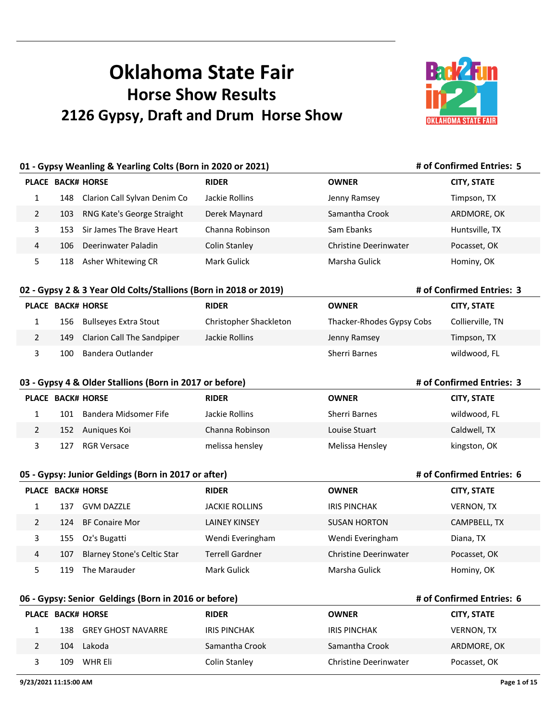# **Oklahoma State Fair Horse Show Results 2126 Gypsy, Draft and Drum Horse Show**



**# of Confirmed Entries: 5**

**# of Confirmed Entries: 3**

**# of Confirmed Entries: 3**

**# of Confirmed Entries: 6**

## **01 - Gypsy Weanling & Yearling Colts (Born in 2020 or 2021)**

|   |      | <b>PLACE BACK# HORSE</b>     | <b>RIDER</b>    | <b>OWNER</b>          | <b>CITY, STATE</b> |
|---|------|------------------------------|-----------------|-----------------------|--------------------|
|   | 148  | Clarion Call Sylvan Denim Co | Jackie Rollins  | Jenny Ramsey          | Timpson, TX        |
| 2 | 103  | RNG Kate's George Straight   | Derek Maynard   | Samantha Crook        | ARDMORE, OK        |
|   | 153. | Sir James The Brave Heart    | Channa Robinson | Sam Ebanks            | Huntsville, TX     |
| 4 | 106. | Deerinwater Paladin          | Colin Stanley   | Christine Deerinwater | Pocasset, OK       |
|   | 118  | Asher Whitewing CR           | Mark Gulick     | Marsha Gulick         | Hominy, OK         |

#### **02 - Gypsy 2 & 3 Year Old Colts/Stallions (Born in 2018 or 2019)**

| <b>PLACE BACK# HORSE</b> |     |                                | <b>RIDER</b>           | <b>OWNER</b>              | <b>CITY, STATE</b> |
|--------------------------|-----|--------------------------------|------------------------|---------------------------|--------------------|
|                          |     | 156 Bullseyes Extra Stout      | Christopher Shackleton | Thacker-Rhodes Gypsy Cobs | Collierville, TN   |
|                          |     | 149 Clarion Call The Sandpiper | Jackie Rollins         | Jenny Ramsey              | Timpson, TX        |
|                          | 100 | Bandera Outlander              |                        | Sherri Barnes             | wildwood, FL       |

#### **03 - Gypsy 4 & Older Stallions (Born in 2017 or before)**

| <b>PLACE BACK# HORSE</b> |     |                       | <b>RIDER</b>    | <b>OWNER</b>         | <b>CITY, STATE</b> |
|--------------------------|-----|-----------------------|-----------------|----------------------|--------------------|
|                          | 101 | Bandera Midsomer Fife | Jackie Rollins  | <b>Sherri Barnes</b> | wildwood, FL       |
|                          | 152 | Aunigues Koi          | Channa Robinson | Louise Stuart        | Caldwell, TX       |
|                          | 127 | RGR Versace           | melissa hensley | Melissa Hensley      | kingston, OK       |

|                |     | 05 - Gypsy: Junior Geldings (Born in 2017 or after) |                        | # of Confirmed Entries: 6 |                    |
|----------------|-----|-----------------------------------------------------|------------------------|---------------------------|--------------------|
| <b>PLACE</b>   |     | <b>BACK# HORSE</b>                                  | <b>RIDER</b>           | <b>OWNER</b>              | <b>CITY, STATE</b> |
|                | 137 | <b>GVM DAZZLE</b>                                   | <b>JACKIE ROLLINS</b>  | IRIS PINCHAK              | <b>VERNON, TX</b>  |
| $\mathcal{P}$  | 124 | <b>BF Conaire Mor</b>                               | LAINEY KINSEY          | <b>SUSAN HORTON</b>       | CAMPBELL, TX       |
| 3              | 155 | Oz's Bugatti                                        | Wendi Everingham       | Wendi Everingham          | Diana, TX          |
| $\overline{a}$ | 107 | <b>Blarney Stone's Celtic Star</b>                  | <b>Terrell Gardner</b> | Christine Deerinwater     | Pocasset, OK       |
|                | 119 | The Marauder                                        | Mark Gulick            | Marsha Gulick             | Hominy, OK         |

#### **06 - Gypsy: Senior Geldings (Born in 2016 or before)**

| <b>PLACE BACK# HORSE</b> |     |                        | <b>RIDER</b>   | <b>OWNER</b>          | <b>CITY, STATE</b> |
|--------------------------|-----|------------------------|----------------|-----------------------|--------------------|
|                          |     | 138 GREY GHOST NAVARRE | IRIS PINCHAK   | IRIS PINCHAK          | <b>VERNON, TX</b>  |
|                          | 104 | Lakoda                 | Samantha Crook | Samantha Crook        | ARDMORE, OK        |
|                          | 109 | WHR Eli                | Colin Stanley  | Christine Deerinwater | Pocasset, OK       |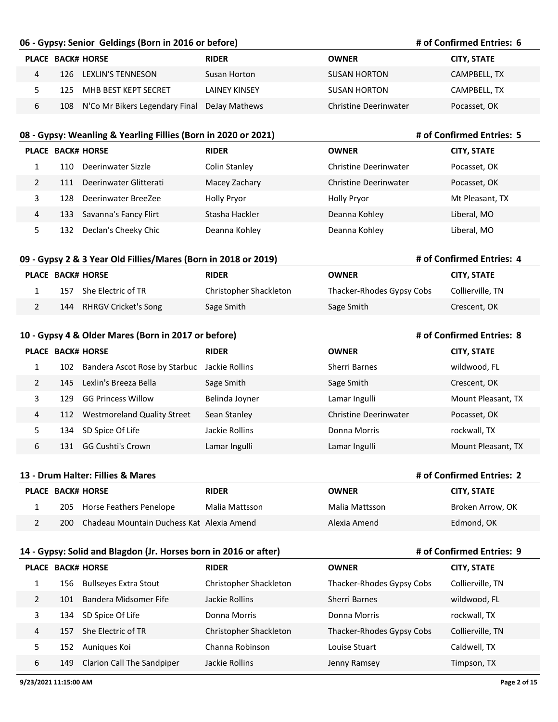#### **06 - Gypsy: Senior Geldings (Born in 2016 or before)**

#### **# of Confirmed Entries: 6**

**# of Confirmed Entries: 5**

**# of Confirmed Entries: 4**

**# of Confirmed Entries: 8**

**# of Confirmed Entries: 9**

| PLACE BACK# HORSE |      |                                                  | <b>RIDER</b>  | <b>OWNER</b>          | <b>CITY, STATE</b> |
|-------------------|------|--------------------------------------------------|---------------|-----------------------|--------------------|
| 4                 |      | 126 LEXLIN'S TENNESON                            | Susan Horton  | SUSAN HORTON          | CAMPBELL, TX       |
|                   | 125. | MHB BEST KEPT SECRET                             | LAINEY KINSEY | SUSAN HORTON          | CAMPBELL, TX       |
| ь                 |      | 108 N'Co Mr Bikers Legendary Final DeJay Mathews |               | Christine Deerinwater | Pocasset, OK       |

#### **08 - Gypsy: Weanling & Yearling Fillies (Born in 2020 or 2021)**

|               |     | PLACE BACK# HORSE      | <b>RIDER</b>       | <b>OWNER</b>                 | <b>CITY, STATE</b> |
|---------------|-----|------------------------|--------------------|------------------------------|--------------------|
|               | 110 | Deerinwater Sizzle     | Colin Stanley      | <b>Christine Deerinwater</b> | Pocasset, OK       |
| $\mathcal{P}$ | 111 | Deerinwater Glitterati | Macey Zachary      | <b>Christine Deerinwater</b> | Pocasset, OK       |
|               | 128 | Deerinwater BreeZee    | <b>Holly Pryor</b> | <b>Holly Pryor</b>           | Mt Pleasant, TX    |
| 4             | 133 | Savanna's Fancy Flirt  | Stasha Hackler     | Deanna Kohley                | Liberal, MO        |
|               | 132 | Declan's Cheeky Chic   | Deanna Kohley      | Deanna Kohley                | Liberal, MO        |

## **09 - Gypsy 2 & 3 Year Old Fillies/Mares (Born in 2018 or 2019)**

|     | PLACE BACK# HORSE        | <b>RIDER</b>           | <b>OWNER</b>              | <b>CITY, STATE</b> |
|-----|--------------------------|------------------------|---------------------------|--------------------|
| 157 | She Electric of TR       | Christopher Shackleton | Thacker-Rhodes Gypsy Cobs | Collierville, TN   |
|     | 144 RHRGV Cricket's Song | Sage Smith             | Sage Smith                | Crescent, OK       |

#### **10 - Gypsy 4 & Older Mares (Born in 2017 or before)**

|   |     | <b>PLACE BACK# HORSE</b>           | <b>RIDER</b>   | <b>OWNER</b>          | <b>CITY, STATE</b> |
|---|-----|------------------------------------|----------------|-----------------------|--------------------|
|   | 102 | Bandera Ascot Rose by Starbuc      | Jackie Rollins | Sherri Barnes         | wildwood, FL       |
| 2 | 145 | Lexlin's Breeza Bella              | Sage Smith     | Sage Smith            | Crescent, OK       |
| 3 | 129 | <b>GG Princess Willow</b>          | Belinda Joyner | Lamar Ingulli         | Mount Pleasant, TX |
| 4 | 112 | <b>Westmoreland Quality Street</b> | Sean Stanley   | Christine Deerinwater | Pocasset, OK       |
| 5 | 134 | SD Spice Of Life                   | Jackie Rollins | Donna Morris          | rockwall, TX       |
| 6 | 131 | <b>GG Cushti's Crown</b>           | Lamar Ingulli  | Lamar Ingulli         | Mount Pleasant, TX |

## **13 - Drum Halter: Fillies & Mares PLACE BACK# HORSE RIDER OWNER CITY, STATE # of Confirmed Entries: 2** 1 205 Horse Feathers Penelope Malia Mattsson Malia Mattsson Broken Arrow, OK 2 200 Chadeau Mountain Duchess Kat Alexia Amend Alexia Amend Alexia Amend Edmond, OK

#### **14 - Gypsy: Solid and Blagdon (Jr. Horses born in 2016 or after)**

|   |     | <b>PLACE BACK# HORSE</b>   | <b>RIDER</b>           | <b>OWNER</b>              | <b>CITY, STATE</b> |
|---|-----|----------------------------|------------------------|---------------------------|--------------------|
|   | 156 | Bullseyes Extra Stout      | Christopher Shackleton | Thacker-Rhodes Gypsy Cobs | Collierville, TN   |
| 2 | 101 | Bandera Midsomer Fife      | Jackie Rollins         | Sherri Barnes             | wildwood, FL       |
|   | 134 | SD Spice Of Life           | Donna Morris           | Donna Morris              | rockwall, TX       |
| 4 | 157 | She Electric of TR         | Christopher Shackleton | Thacker-Rhodes Gypsy Cobs | Collierville, TN   |
|   | 152 | Auniques Koi               | Channa Robinson        | Louise Stuart             | Caldwell, TX       |
| 6 | 149 | Clarion Call The Sandpiper | Jackie Rollins         | Jenny Ramsey              | Timpson, TX        |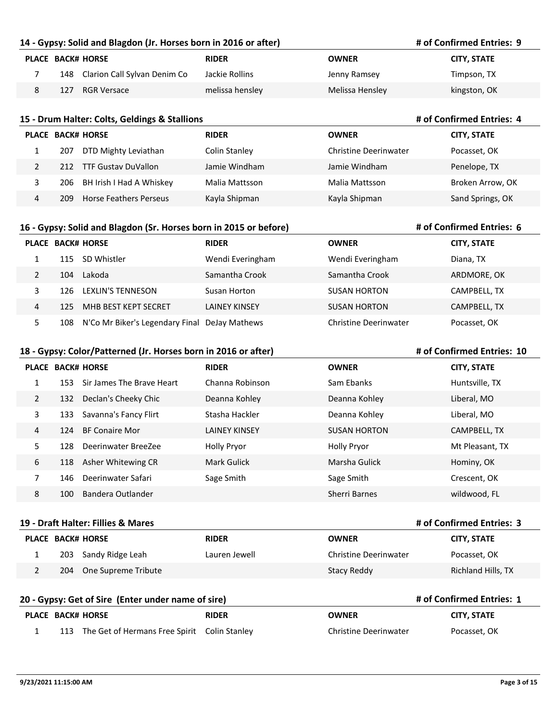#### **14 - Gypsy: Solid and Blagdon (Jr. Horses born in 2016 or after)**

|     | <b>PLACE BACK# HORSE</b>         | <b>RIDER</b>    | <b>OWNER</b>    | <b>CITY, STATE</b> |
|-----|----------------------------------|-----------------|-----------------|--------------------|
|     | 148 Clarion Call Sylvan Denim Co | Jackie Rollins  | Jenny Ramsey    | Timpson, TX        |
| 127 | RGR Versace                      | melissa hensley | Melissa Hensley | kingston, OK       |

## **15 - Drum Halter: Colts, Geldings & Stallions PLACE BACK# HORSE RIDER OWNER CITY, STATE # of Confirmed Entries: 4** 1 207 DTD Mighty Leviathan Colin Stanley Christine Deerinwater Pocasset, OK 2 212 TTF Gustav DuVallon Jamie Windham Jamie Windham Jamie Windham Penelope, TX 3 206 BH Irish I Had A Whiskey Malia Mattsson Malia Mattsson Broken Arrow, OK 4 209 Horse Feathers Perseus Kayla Shipman Kayla Shipman Sand Springs, OK

#### **16 - Gypsy: Solid and Blagdon (Sr. Horses born in 2015 or before)**

## **PLACE BACK# HORSE RIDER OWNER CITY, STATE** 1 115 SD Whistler Wendi Everingham Wendi Everingham Diana, TX 2 104 Lakoda Samantha Crook Samantha Crook ARDMORE, OK 3 126 LEXLIN'S TENNESON Susan Horton SUSAN HORTON CAMPBELL, TX 4 125 MHB BEST KEPT SECRET LAINEY KINSEY SUSAN HORTON CAMPBELL, TX 5 108 N'Co Mr Biker's Legendary Final DeJay Mathews Christine Deerinwater Pocasset, OK

#### **18 - Gypsy: Color/Patterned (Jr. Horses born in 2016 or after)**

## **PLACE BACK# HORSE RIDER OWNER CITY, STATE** 1 153 Sir James The Brave Heart Channa Robinson Sam Ebanks Sam Ebanks Huntsville, TX 2 132 Declan's Cheeky Chic Deanna Kohley Deanna Kohley Liberal, MO 3 133 Savanna's Fancy Flirt Stasha Hackler **Stasha Hackler** Deanna Kohley Liberal, MO 4 124 BF Conaire Mor **LAINEY KINSEY** SUSAN HORTON CAMPBELL, TX 5 128 Deerinwater BreeZee Holly Pryor Holly Pryor Mt Pleasant, TX 6 118 Asher Whitewing CR Mark Gulick Marsha Gulick Hominy, OK 7 146 Deerinwater Safari Sage Smith Sage Smith Sage Smith Sage Smith Crescent, OK 8 100 Bandera Outlander Sherri Barnes wildwood, FL

#### **19 - Draft Halter: Fillies & Mares**

|     | PLACE BACK# HORSE    | <b>RIDER</b>  | <b>OWNER</b>          | <b>CITY, STATE</b> |
|-----|----------------------|---------------|-----------------------|--------------------|
|     | 203 Sandy Ridge Leah | Lauren Jewell | Christine Deerinwater | Pocasset, OK       |
| 204 | One Supreme Tribute  |               | Stacy Reddy           | Richland Hills, TX |

#### **20 - Gypsy: Get of Sire (Enter under name of sire)**

#### **# of Confirmed Entries: 1**

**# of Confirmed Entries: 3**

|  | PLACE BACK# HORSE                                | <b>RIDER</b> | <b>OWNER</b>          | <b>CITY, STATE</b> |
|--|--------------------------------------------------|--------------|-----------------------|--------------------|
|  | 113 The Get of Hermans Free Spirit Colin Stanley |              | Christine Deerinwater | Pocasset, OK       |

## **# of Confirmed Entries: 10**

**# of Confirmed Entries: 6**

**# of Confirmed Entries: 9**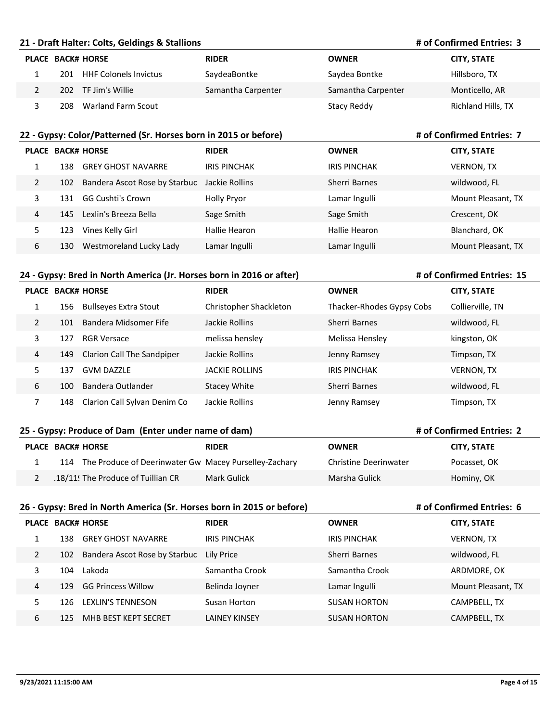#### **21 - Draft Halter: Colts, Geldings & Stallions**

#### **# of Confirmed Entries: 3**

**# of Confirmed Entries: 7**

| <b>PLACE BACK# HORSE</b>            | <b>RIDER</b>       | <b>OWNER</b>       | <b>CITY, STATE</b> |
|-------------------------------------|--------------------|--------------------|--------------------|
| <b>HHF Colonels Invictus</b><br>201 | SaydeaBontke       | Saydea Bontke      | Hillsboro, TX      |
| 202 TF Jim's Willie                 | Samantha Carpenter | Samantha Carpenter | Monticello, AR     |
| <b>Warland Farm Scout</b><br>208    |                    | Stacy Reddy        | Richland Hills, TX |

#### **22 - Gypsy: Color/Patterned (Sr. Horses born in 2015 or before)**

|                |     | <b>PLACE BACK# HORSE</b>      | <b>RIDER</b>        | <b>OWNER</b>        | <b>CITY, STATE</b> |
|----------------|-----|-------------------------------|---------------------|---------------------|--------------------|
|                | 138 | <b>GREY GHOST NAVARRE</b>     | <b>IRIS PINCHAK</b> | <b>IRIS PINCHAK</b> | <b>VERNON, TX</b>  |
| $\overline{2}$ | 102 | Bandera Ascot Rose by Starbuc | Jackie Rollins      | Sherri Barnes       | wildwood, FL       |
| 3              | 131 | <b>GG Cushti's Crown</b>      | <b>Holly Pryor</b>  | Lamar Ingulli       | Mount Pleasant, TX |
| 4              | 145 | Lexlin's Breeza Bella         | Sage Smith          | Sage Smith          | Crescent, OK       |
| 5              | 123 | Vines Kelly Girl              | Hallie Hearon       | Hallie Hearon       | Blanchard, OK      |
| 6              | 130 | Westmoreland Lucky Lady       | Lamar Ingulli       | Lamar Ingulli       | Mount Pleasant, TX |

#### **24 - Gypsy: Bred in North America (Jr. Horses born in 2016 or after)**

**# of Confirmed Entries: 15**

**# of Confirmed Entries: 2**

**# of Confirmed Entries: 6**

|    |     | <b>PLACE BACK# HORSE</b>     | <b>RIDER</b>           | <b>OWNER</b>              | <b>CITY, STATE</b> |
|----|-----|------------------------------|------------------------|---------------------------|--------------------|
| Ŧ. | 156 | <b>Bullseyes Extra Stout</b> | Christopher Shackleton | Thacker-Rhodes Gypsy Cobs | Collierville, TN   |
| 2  | 101 | Bandera Midsomer Fife        | Jackie Rollins         | Sherri Barnes             | wildwood, FL       |
| 3  | 127 | <b>RGR Versace</b>           | melissa hensley        | Melissa Hensley           | kingston, OK       |
| 4  | 149 | Clarion Call The Sandpiper   | Jackie Rollins         | Jenny Ramsey              | Timpson, TX        |
| 5  | 137 | <b>GVM DAZZLE</b>            | <b>JACKIE ROLLINS</b>  | <b>IRIS PINCHAK</b>       | <b>VERNON, TX</b>  |
| 6  | 100 | Bandera Outlander            | <b>Stacey White</b>    | Sherri Barnes             | wildwood, FL       |
|    | 148 | Clarion Call Sylvan Denim Co | Jackie Rollins         | Jenny Ramsey              | Timpson, TX        |

#### **25 - Gypsy: Produce of Dam (Enter under name of dam)**

|     | PLACE BACK# HORSE                                     | <b>RIDER</b> | <b>OWNER</b>          | <b>CITY, STATE</b> |
|-----|-------------------------------------------------------|--------------|-----------------------|--------------------|
| 114 | The Produce of Deerinwater Gw Macey Purselley-Zachary |              | Christine Deerinwater | Pocasset, OK       |
|     | 18/11! The Produce of Tuillian CR                     | Mark Gulick  | Marsha Gulick         | Hominy, OK         |

#### **26 - Gypsy: Bred in North America (Sr. Horses born in 2015 or before)**

|   |     | <b>PLACE BACK# HORSE</b>      | <b>RIDER</b>         | <b>OWNER</b>        | <b>CITY, STATE</b> |
|---|-----|-------------------------------|----------------------|---------------------|--------------------|
| 1 | 138 | <b>GREY GHOST NAVARRE</b>     | <b>IRIS PINCHAK</b>  | <b>IRIS PINCHAK</b> | <b>VERNON, TX</b>  |
| 2 | 102 | Bandera Ascot Rose by Starbuc | Lily Price           | Sherri Barnes       | wildwood, FL       |
| 3 | 104 | Lakoda                        | Samantha Crook       | Samantha Crook      | ARDMORE, OK        |
| 4 | 129 | <b>GG Princess Willow</b>     | Belinda Joyner       | Lamar Ingulli       | Mount Pleasant, TX |
| 5 | 126 | LEXLIN'S TENNESON             | Susan Horton         | <b>SUSAN HORTON</b> | CAMPBELL, TX       |
| 6 | 125 | MHB BEST KEPT SECRET          | <b>LAINEY KINSEY</b> | <b>SUSAN HORTON</b> | CAMPBELL, TX       |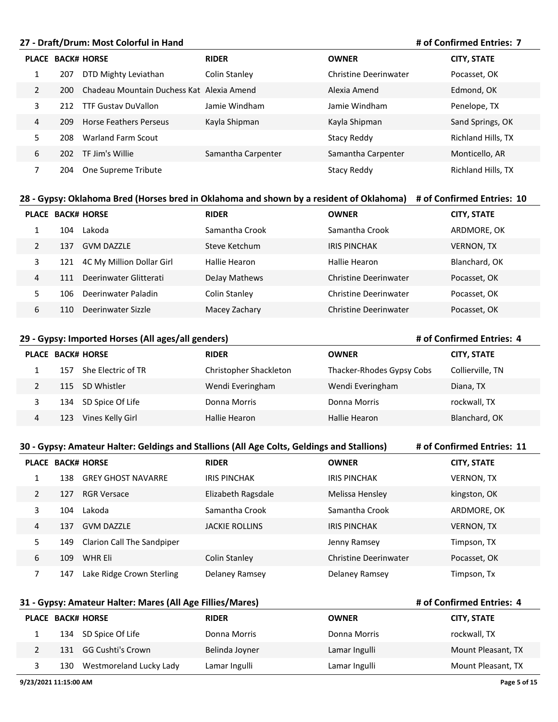#### **27 - Draft/Drum: Most Colorful in Hand**

#### **# of Confirmed Entries: 7**

**# of Confirmed Entries: 4**

**# of Confirmed Entries: 4**

|                |     | <b>PLACE BACK# HORSE</b>                  | <b>RIDER</b>       | <b>OWNER</b>          | <b>CITY, STATE</b> |
|----------------|-----|-------------------------------------------|--------------------|-----------------------|--------------------|
|                | 207 | DTD Mighty Leviathan                      | Colin Stanley      | Christine Deerinwater | Pocasset, OK       |
| $\overline{2}$ | 200 | Chadeau Mountain Duchess Kat Alexia Amend |                    | Alexia Amend          | Edmond, OK         |
| 3              | 212 | <b>TTF Gustay DuVallon</b>                | Jamie Windham      | Jamie Windham         | Penelope, TX       |
| 4              | 209 | Horse Feathers Perseus                    | Kayla Shipman      | Kayla Shipman         | Sand Springs, OK   |
| 5              | 208 | Warland Farm Scout                        |                    | Stacy Reddy           | Richland Hills, TX |
| 6              | 202 | TF Jim's Willie                           | Samantha Carpenter | Samantha Carpenter    | Monticello, AR     |
|                | 204 | One Supreme Tribute                       |                    | Stacy Reddy           | Richland Hills, TX |

## **28 - Gypsy: Oklahoma Bred (Horses bred in Oklahoma and shown by a resident of Oklahoma) # of Confirmed Entries: 10**

|   |     | <b>PLACE BACK# HORSE</b>  | <b>RIDER</b>   | <b>OWNER</b>                 | <b>CITY, STATE</b> |
|---|-----|---------------------------|----------------|------------------------------|--------------------|
|   | 104 | Lakoda                    | Samantha Crook | Samantha Crook               | ARDMORE, OK        |
| 2 | 137 | <b>GVM DAZZLE</b>         | Steve Ketchum  | <b>IRIS PINCHAK</b>          | <b>VERNON, TX</b>  |
| 3 | 121 | 4C My Million Dollar Girl | Hallie Hearon  | Hallie Hearon                | Blanchard, OK      |
| 4 | 111 | Deerinwater Glitterati    | DeJay Mathews  | Christine Deerinwater        | Pocasset, OK       |
| 5 | 106 | Deerinwater Paladin       | Colin Stanley  | Christine Deerinwater        | Pocasset, OK       |
| 6 | 110 | Deerinwater Sizzle        | Macey Zachary  | <b>Christine Deerinwater</b> | Pocasset, OK       |

#### **29 - Gypsy: Imported Horses (All ages/all genders)**

## **PLACE BACK# HORSE RIDER OWNER CITY, STATE** 157 She Electric of TR Christopher Shackleton Thacker-Rhodes Gypsy Cobs Collierville, TN 115 SD Whistler Wendi Everingham Wendi Everingham Diana, TX 134 SD Spice Of Life Donna Morris Donna Morris rockwall, TX 123 Vines Kelly Girl Hallie Hearon Hallie Hearon Blanchard, OK

|   | # of Confirmed Entries: 11<br>30 - Gypsy: Amateur Halter: Geldings and Stallions (All Age Colts, Geldings and Stallions) |                            |                       |                              |                    |  |  |  |  |
|---|--------------------------------------------------------------------------------------------------------------------------|----------------------------|-----------------------|------------------------------|--------------------|--|--|--|--|
|   |                                                                                                                          | <b>PLACE BACK# HORSE</b>   | <b>RIDER</b>          | <b>OWNER</b>                 | <b>CITY, STATE</b> |  |  |  |  |
| 1 | 138                                                                                                                      | <b>GREY GHOST NAVARRE</b>  | <b>IRIS PINCHAK</b>   | <b>IRIS PINCHAK</b>          | <b>VERNON, TX</b>  |  |  |  |  |
| 2 | 127                                                                                                                      | <b>RGR Versace</b>         | Elizabeth Ragsdale    | Melissa Hensley              | kingston, OK       |  |  |  |  |
| 3 | 104                                                                                                                      | Lakoda                     | Samantha Crook        | Samantha Crook               | ARDMORE, OK        |  |  |  |  |
| 4 | 137                                                                                                                      | <b>GVM DAZZLE</b>          | <b>JACKIE ROLLINS</b> | <b>IRIS PINCHAK</b>          | <b>VERNON, TX</b>  |  |  |  |  |
| 5 | 149                                                                                                                      | Clarion Call The Sandpiper |                       | Jenny Ramsey                 | Timpson, TX        |  |  |  |  |
| 6 | 109                                                                                                                      | WHR Eli                    | Colin Stanley         | <b>Christine Deerinwater</b> | Pocasset, OK       |  |  |  |  |
| 7 | 147                                                                                                                      | Lake Ridge Crown Sterling  | Delaney Ramsey        | Delaney Ramsey               | Timpson, Tx        |  |  |  |  |

#### **31 - Gypsy: Amateur Halter: Mares (All Age Fillies/Mares)**

| <b>PLACE BACK# HORSE</b>       | <b>RIDER</b>   | <b>OWNER</b>  | <b>CITY, STATE</b> |
|--------------------------------|----------------|---------------|--------------------|
| 134 SD Spice Of Life           | Donna Morris   | Donna Morris  | rockwall, TX       |
| 131 GG Cushti's Crown          | Belinda Joyner | Lamar Ingulli | Mount Pleasant, TX |
| Westmoreland Lucky Lady<br>130 | Lamar Ingulli  | Lamar Ingulli | Mount Pleasant, TX |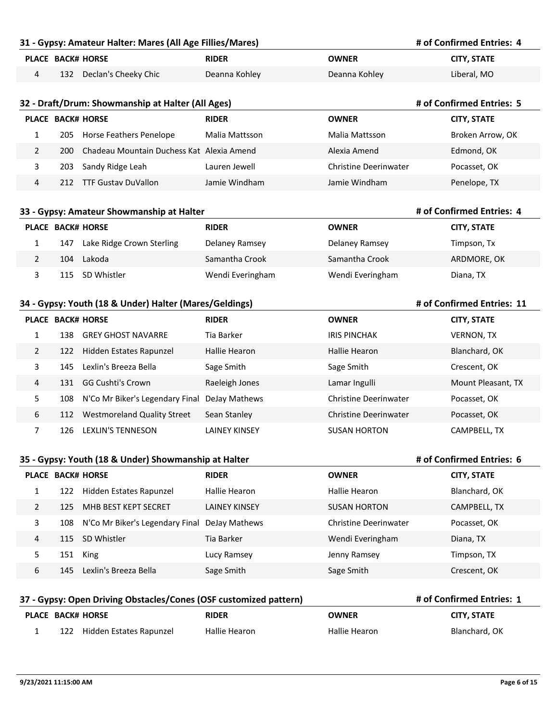#### **31 - Gypsy: Amateur Halter: Mares (All Age Fillies/Mares)**

| PLACE BACK# HORSE |     |                      | <b>RIDER</b>  | OWNER         | <b>CITY. STATE</b> |
|-------------------|-----|----------------------|---------------|---------------|--------------------|
|                   | 132 | Declan's Cheeky Chic | Deanna Kohley | Deanna Kohley | Liberal, MO        |

#### **32 - Draft/Drum: Showmanship at Halter (All Ages)**

|   |     | <b>PLACE BACK# HORSE</b>                  | <b>RIDER</b>   | <b>OWNER</b>          | <b>CITY, STATE</b> |
|---|-----|-------------------------------------------|----------------|-----------------------|--------------------|
|   | 205 | Horse Feathers Penelope                   | Malia Mattsson | Malia Mattsson        | Broken Arrow, OK   |
|   | 200 | Chadeau Mountain Duchess Kat Alexia Amend |                | Alexia Amend          | Edmond, OK         |
|   | 203 | Sandy Ridge Leah                          | Lauren Jewell  | Christine Deerinwater | Pocasset, OK       |
| 4 |     | 212 TTF Gustav DuVallon                   | Jamie Windham  | Jamie Windham         | Penelope, TX       |

#### **33 - Gypsy: Amateur Showmanship at Halter**

|     | <b>PLACE BACK# HORSE</b>  | <b>RIDER</b>     | <b>OWNER</b>     | <b>CITY, STATE</b> |
|-----|---------------------------|------------------|------------------|--------------------|
| 147 | Lake Ridge Crown Sterling | Delaney Ramsey   | Delaney Ramsey   | Timpson, Tx        |
| 104 | Lakoda                    | Samantha Crook   | Samantha Crook   | ARDMORE, OK        |
|     | 115 SD Whistler           | Wendi Everingham | Wendi Everingham | Diana, TX          |

#### **34 - Gypsy: Youth (18 & Under) Halter (Mares/Geldings)**

|   |     | <b>PLACE BACK# HORSE</b>           | <b>RIDER</b>         | <b>OWNER</b>          | <b>CITY, STATE</b> |
|---|-----|------------------------------------|----------------------|-----------------------|--------------------|
|   | 138 | <b>GREY GHOST NAVARRE</b>          | Tia Barker           | <b>IRIS PINCHAK</b>   | <b>VERNON, TX</b>  |
| 2 | 122 | Hidden Estates Rapunzel            | Hallie Hearon        | Hallie Hearon         | Blanchard, OK      |
| 3 | 145 | Lexlin's Breeza Bella              | Sage Smith           | Sage Smith            | Crescent, OK       |
| 4 | 131 | <b>GG Cushti's Crown</b>           | Raeleigh Jones       | Lamar Ingulli         | Mount Pleasant, TX |
| 5 | 108 | N'Co Mr Biker's Legendary Final    | DeJay Mathews        | Christine Deerinwater | Pocasset, OK       |
| 6 | 112 | <b>Westmoreland Quality Street</b> | Sean Stanley         | Christine Deerinwater | Pocasset, OK       |
|   | 126 | <b>LEXLIN'S TENNESON</b>           | <b>LAINEY KINSEY</b> | <b>SUSAN HORTON</b>   | CAMPBELL. TX       |

#### **35 - Gypsy: Youth (18 & Under) Showmanship at Halter**

|   |     | <b>PLACE BACK# HORSE</b>        | <b>RIDER</b>         | <b>OWNER</b>          | <b>CITY, STATE</b> |
|---|-----|---------------------------------|----------------------|-----------------------|--------------------|
|   | 122 | Hidden Estates Rapunzel         | Hallie Hearon        | Hallie Hearon         | Blanchard, OK      |
| 2 | 125 | MHB BEST KEPT SECRET            | <b>LAINEY KINSEY</b> | <b>SUSAN HORTON</b>   | CAMPBELL, TX       |
| 3 | 108 | N'Co Mr Biker's Legendary Final | DeJay Mathews        | Christine Deerinwater | Pocasset, OK       |
| 4 | 115 | SD Whistler                     | Tia Barker           | Wendi Everingham      | Diana, TX          |
| 5 | 151 | King                            | Lucy Ramsey          | Jenny Ramsey          | Timpson, TX        |
| 6 | 145 | Lexlin's Breeza Bella           | Sage Smith           | Sage Smith            | Crescent, OK       |

#### **37 - Gypsy: Open Driving Obstacles/Cones (OSF customized pattern) PLACE BACK# HORSE RIDER OWNER CITY, STATE # of Confirmed Entries: 1** 1 122 Hidden Estates Rapunzel Hallie Hearon Hallie Hearon Blanchard, OK

**# of Confirmed Entries: 4**

**# of Confirmed Entries: 5**

**# of Confirmed Entries: 4**

**# of Confirmed Entries: 11**

**# of Confirmed Entries: 6**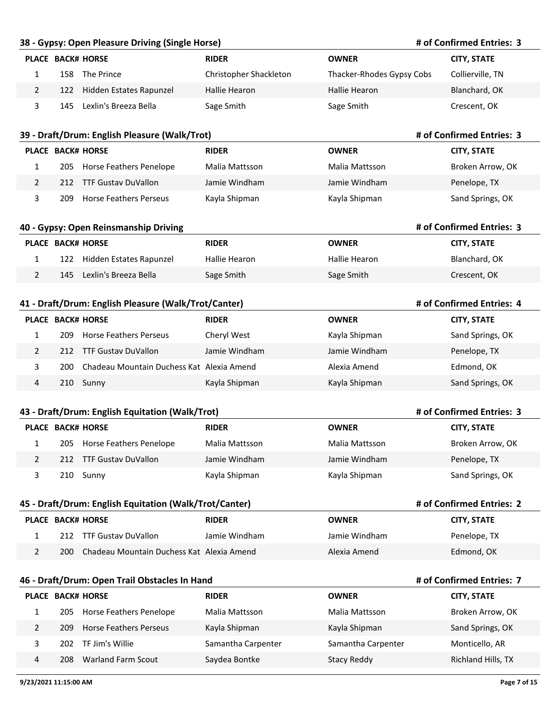#### **38 - Gypsy: Open Pleasure Driving (Single Horse)**

#### **# of Confirmed Entries: 3**

**# of Confirmed Entries: 3**

**# of Confirmed Entries: 3**

**# of Confirmed Entries: 4**

**# of Confirmed Entries: 3**

|     | <b>PLACE BACK# HORSE</b>    | <b>RIDER</b>           | <b>OWNER</b>              | <b>CITY, STATE</b> |
|-----|-----------------------------|------------------------|---------------------------|--------------------|
| 158 | The Prince                  | Christopher Shackleton | Thacker-Rhodes Gypsy Cobs | Collierville, TN   |
|     | 122 Hidden Estates Rapunzel | Hallie Hearon          | <b>Hallie Hearon</b>      | Blanchard, OK      |
| 145 | Lexlin's Breeza Bella       | Sage Smith             | Sage Smith                | Crescent, OK       |

#### **39 - Draft/Drum: English Pleasure (Walk/Trot)**

| <b>PLACE BACK# HORSE</b> |     |                               | <b>RIDER</b>   | <b>OWNER</b>   | <b>CITY, STATE</b> |
|--------------------------|-----|-------------------------------|----------------|----------------|--------------------|
|                          |     | 205 Horse Feathers Penelope   | Malia Mattsson | Malia Mattsson | Broken Arrow, OK   |
|                          |     | 212 TTF Gustay DuVallon       | Jamie Windham  | Jamie Windham  | Penelope, TX       |
|                          | 209 | <b>Horse Feathers Perseus</b> | Kayla Shipman  | Kayla Shipman  | Sand Springs, OK   |

#### **40 - Gypsy: Open Reinsmanship Driving**

| PLACE BACK# HORSE |     |                         | <b>RIDER</b>  | <b>OWNER</b>  | <b>CITY, STATE</b> |
|-------------------|-----|-------------------------|---------------|---------------|--------------------|
|                   | 122 | Hidden Estates Rapunzel | Hallie Hearon | Hallie Hearon | Blanchard, OK      |
|                   | 145 | Lexlin's Breeza Bella   | Sage Smith    | Sage Smith    | Crescent, OK       |

#### **41 - Draft/Drum: English Pleasure (Walk/Trot/Canter)**

|   |     | <b>PLACE BACK# HORSE</b>                  | <b>RIDER</b>  | <b>OWNER</b>  | <b>CITY, STATE</b> |
|---|-----|-------------------------------------------|---------------|---------------|--------------------|
|   | 209 | Horse Feathers Perseus                    | Cheryl West   | Kayla Shipman | Sand Springs, OK   |
|   | 212 | TTF Gustav DuVallon                       | Jamie Windham | Jamie Windham | Penelope, TX       |
|   | 200 | Chadeau Mountain Duchess Kat Alexia Amend |               | Alexia Amend  | Edmond, OK         |
| 4 |     | 210 Sunny                                 | Kayla Shipman | Kayla Shipman | Sand Springs, OK   |

#### **43 - Draft/Drum: English Equitation (Walk/Trot)**

|     | <b>PLACE BACK# HORSE</b>    | <b>RIDER</b>   | <b>OWNER</b>   | <b>CITY, STATE</b> |
|-----|-----------------------------|----------------|----------------|--------------------|
|     | 205 Horse Feathers Penelope | Malia Mattsson | Malia Mattsson | Broken Arrow, OK   |
| 212 | TTF Gustav DuVallon         | Jamie Windham  | Jamie Windham  | Penelope, TX       |
|     | 210 Sunny                   | Kayla Shipman  | Kayla Shipman  | Sand Springs, OK   |

| 45 - Draft/Drum: English Equitation (Walk/Trot/Canter) |                                           |               | # of Confirmed Entries: 2 |                    |
|--------------------------------------------------------|-------------------------------------------|---------------|---------------------------|--------------------|
|                                                        | <b>PLACE BACK# HORSE</b>                  | <b>RIDER</b>  | <b>OWNER</b>              | <b>CITY, STATE</b> |
| 212                                                    | TTF Gustav DuVallon                       | Jamie Windham | Jamie Windham             | Penelope, TX       |
| 200.                                                   | Chadeau Mountain Duchess Kat Alexia Amend |               | Alexia Amend              | Edmond, OK         |

#### **46 - Draft/Drum: Open Trail Obstacles In Hand**

|   |      | <b>PLACE BACK# HORSE</b>    | <b>RIDER</b>       | <b>OWNER</b>       | <b>CITY, STATE</b> |
|---|------|-----------------------------|--------------------|--------------------|--------------------|
|   |      | 205 Horse Feathers Penelope | Malia Mattsson     | Malia Mattsson     | Broken Arrow, OK   |
|   | 209  | Horse Feathers Perseus      | Kayla Shipman      | Kayla Shipman      | Sand Springs, OK   |
|   | 202. | TF Jim's Willie             | Samantha Carpenter | Samantha Carpenter | Monticello, AR     |
| 4 | 208  | <b>Warland Farm Scout</b>   | Saydea Bontke      | Stacy Reddy        | Richland Hills, TX |

## **# of Confirmed Entries: 7**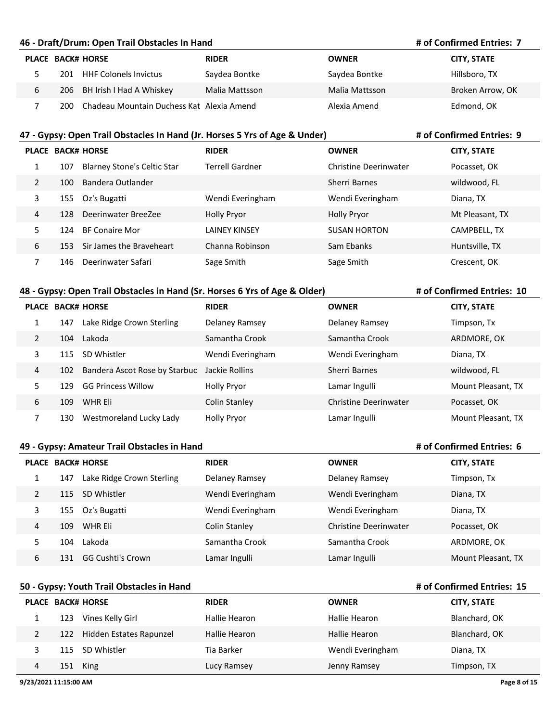#### **46 - Draft/Drum: Open Trail Obstacles In Hand**

#### **# of Confirmed Entries: 7**

|   |      | <b>PLACE BACK# HORSE</b>                  | <b>RIDER</b>   | <b>OWNER</b>   | <b>CITY, STATE</b> |
|---|------|-------------------------------------------|----------------|----------------|--------------------|
|   | 201  | <b>HHF Colonels Invictus</b>              | Saydea Bontke  | Saydea Bontke  | Hillsboro, TX      |
| 6 |      | 206 BH Irish I Had A Whiskey              | Malia Mattsson | Malia Mattsson | Broken Arrow, OK   |
|   | 200. | Chadeau Mountain Duchess Kat Alexia Amend |                | Alexia Amend   | Edmond, OK         |

#### **47 - Gypsy: Open Trail Obstacles In Hand (Jr. Horses 5 Yrs of Age & Under)**

#### **# of Confirmed Entries: 9**

**# of Confirmed Entries: 10**

**# of Confirmed Entries: 6**

**# of Confirmed Entries: 15**

|                |     | <b>PLACE BACK# HORSE</b>           | <b>RIDER</b>         | <b>OWNER</b>          | <b>CITY, STATE</b> |
|----------------|-----|------------------------------------|----------------------|-----------------------|--------------------|
| 1              | 107 | <b>Blarney Stone's Celtic Star</b> | Terrell Gardner      | Christine Deerinwater | Pocasset, OK       |
| $\overline{2}$ | 100 | Bandera Outlander                  |                      | Sherri Barnes         | wildwood, FL       |
| 3              | 155 | Oz's Bugatti                       | Wendi Everingham     | Wendi Everingham      | Diana, TX          |
| 4              | 128 | Deerinwater BreeZee                | <b>Holly Pryor</b>   | <b>Holly Pryor</b>    | Mt Pleasant, TX    |
| 5              | 124 | <b>BF Conaire Mor</b>              | <b>LAINEY KINSEY</b> | <b>SUSAN HORTON</b>   | CAMPBELL, TX       |
| 6              | 153 | Sir James the Braveheart           | Channa Robinson      | Sam Ebanks            | Huntsville, TX     |
|                | 146 | Deerinwater Safari                 | Sage Smith           | Sage Smith            | Crescent, OK       |

## **48 - Gypsy: Open Trail Obstacles in Hand (Sr. Horses 6 Yrs of Age & Older)**

|   |     | <b>PLACE BACK# HORSE</b>      | <b>RIDER</b>       | <b>OWNER</b>                 | <b>CITY, STATE</b> |
|---|-----|-------------------------------|--------------------|------------------------------|--------------------|
| 1 | 147 | Lake Ridge Crown Sterling     | Delaney Ramsey     | Delaney Ramsey               | Timpson, Tx        |
| 2 | 104 | Lakoda                        | Samantha Crook     | Samantha Crook               | ARDMORE, OK        |
| 3 | 115 | SD Whistler                   | Wendi Everingham   | Wendi Everingham             | Diana, TX          |
| 4 | 102 | Bandera Ascot Rose by Starbuc | Jackie Rollins     | Sherri Barnes                | wildwood, FL       |
| 5 | 129 | <b>GG Princess Willow</b>     | <b>Holly Pryor</b> | Lamar Ingulli                | Mount Pleasant, TX |
| 6 | 109 | WHR Eli                       | Colin Stanley      | <b>Christine Deerinwater</b> | Pocasset, OK       |
| 7 | 130 | Westmoreland Lucky Lady       | <b>Holly Pryor</b> | Lamar Ingulli                | Mount Pleasant, TX |

### **49 - Gypsy: Amateur Trail Obstacles in Hand**

|   |     | <b>PLACE BACK# HORSE</b>  | <b>RIDER</b>     | <b>OWNER</b>          | <b>CITY, STATE</b> |
|---|-----|---------------------------|------------------|-----------------------|--------------------|
|   | 147 | Lake Ridge Crown Sterling | Delaney Ramsey   | Delaney Ramsey        | Timpson, Tx        |
| 2 | 115 | SD Whistler               | Wendi Everingham | Wendi Everingham      | Diana, TX          |
| 3 | 155 | Oz's Bugatti              | Wendi Everingham | Wendi Everingham      | Diana, TX          |
| 4 | 109 | WHR Eli                   | Colin Stanley    | Christine Deerinwater | Pocasset, OK       |
|   | 104 | Lakoda                    | Samantha Crook   | Samantha Crook        | ARDMORE, OK        |
| 6 | 131 | <b>GG Cushti's Crown</b>  | Lamar Ingulli    | Lamar Ingulli         | Mount Pleasant, TX |

## **50 - Gypsy: Youth Trail Obstacles in Hand**

|   |     | <b>PLACE BACK# HORSE</b>    | <b>RIDER</b>  | <b>OWNER</b>     | <b>CITY, STATE</b> |
|---|-----|-----------------------------|---------------|------------------|--------------------|
|   | 123 | Vines Kelly Girl            | Hallie Hearon | Hallie Hearon    | Blanchard, OK      |
|   |     | 122 Hidden Estates Rapunzel | Hallie Hearon | Hallie Hearon    | Blanchard, OK      |
|   |     | 115 SD Whistler             | Tia Barker    | Wendi Everingham | Diana, TX          |
| 4 | 151 | King                        | Lucy Ramsey   | Jenny Ramsey     | Timpson, TX        |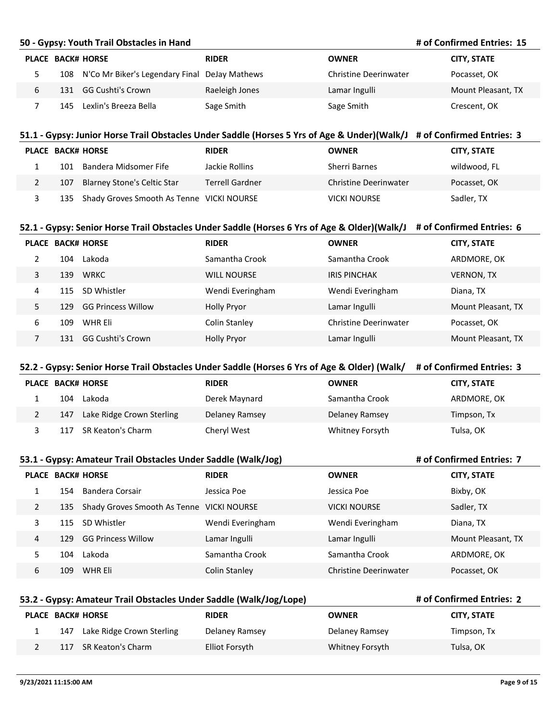|                | # of Confirmed Entries: 15<br>50 - Gypsy: Youth Trail Obstacles in Hand |                                                                                                                        |                        |                              |                           |  |
|----------------|-------------------------------------------------------------------------|------------------------------------------------------------------------------------------------------------------------|------------------------|------------------------------|---------------------------|--|
|                |                                                                         | <b>PLACE BACK# HORSE</b>                                                                                               | <b>RIDER</b>           | <b>OWNER</b>                 | <b>CITY, STATE</b>        |  |
| 5              |                                                                         | 108 N'Co Mr Biker's Legendary Final                                                                                    | DeJay Mathews          | <b>Christine Deerinwater</b> | Pocasset, OK              |  |
| 6              | 131                                                                     | <b>GG Cushti's Crown</b>                                                                                               | Raeleigh Jones         | Lamar Ingulli                | Mount Pleasant, TX        |  |
| 7              |                                                                         | 145 Lexlin's Breeza Bella                                                                                              | Sage Smith             | Sage Smith                   | Crescent, OK              |  |
|                |                                                                         |                                                                                                                        |                        |                              |                           |  |
|                |                                                                         | 51.1 - Gypsy: Junior Horse Trail Obstacles Under Saddle (Horses 5 Yrs of Age & Under)(Walk/J # of Confirmed Entries: 3 |                        |                              |                           |  |
|                | PLACE BACK# HORSE                                                       |                                                                                                                        | <b>RIDER</b>           | <b>OWNER</b>                 | <b>CITY, STATE</b>        |  |
| $\mathbf{1}$   | 101                                                                     | Bandera Midsomer Fife                                                                                                  | Jackie Rollins         | Sherri Barnes                | wildwood, FL              |  |
| 2              | 107                                                                     | <b>Blarney Stone's Celtic Star</b>                                                                                     | <b>Terrell Gardner</b> | <b>Christine Deerinwater</b> | Pocasset, OK              |  |
| 3              | 135                                                                     | Shady Groves Smooth As Tenne VICKI NOURSE                                                                              |                        | <b>VICKI NOURSE</b>          | Sadler, TX                |  |
|                |                                                                         |                                                                                                                        |                        |                              |                           |  |
|                |                                                                         | 52.1 - Gypsy: Senior Horse Trail Obstacles Under Saddle (Horses 6 Yrs of Age & Older)(Walk/J # of Confirmed Entries: 6 |                        |                              |                           |  |
|                | PLACE BACK# HORSE                                                       |                                                                                                                        | <b>RIDER</b>           | <b>OWNER</b>                 | <b>CITY, STATE</b>        |  |
| $\overline{2}$ |                                                                         | 104 Lakoda                                                                                                             | Samantha Crook         | Samantha Crook               | ARDMORE, OK               |  |
| 3              |                                                                         | 139 WRKC                                                                                                               | <b>WILL NOURSE</b>     | <b>IRIS PINCHAK</b>          | <b>VERNON, TX</b>         |  |
| 4              | 115                                                                     | SD Whistler                                                                                                            | Wendi Everingham       | Wendi Everingham             | Diana, TX                 |  |
| 5.             |                                                                         | 129 GG Princess Willow                                                                                                 | <b>Holly Pryor</b>     | Lamar Ingulli                | Mount Pleasant, TX        |  |
| 6              | 109                                                                     | WHR Eli                                                                                                                | Colin Stanley          | <b>Christine Deerinwater</b> | Pocasset, OK              |  |
| $\overline{7}$ |                                                                         | 131 GG Cushti's Crown                                                                                                  | <b>Holly Pryor</b>     | Lamar Ingulli                | Mount Pleasant, TX        |  |
|                |                                                                         |                                                                                                                        |                        |                              |                           |  |
|                |                                                                         | 52.2 - Gypsy: Senior Horse Trail Obstacles Under Saddle (Horses 6 Yrs of Age & Older) (Walk/                           |                        |                              | # of Confirmed Entries: 3 |  |
|                |                                                                         | PLACE BACK# HORSE                                                                                                      | <b>RIDER</b>           | <b>OWNER</b>                 | <b>CITY, STATE</b>        |  |
| $\mathbf{1}$   |                                                                         | 104 Lakoda                                                                                                             | Derek Maynard          | Samantha Crook               | ARDMORE, OK               |  |
| 2              | 147                                                                     | Lake Ridge Crown Sterling                                                                                              | Delaney Ramsey         | Delaney Ramsey               | Timpson, Tx               |  |
| 3              | 117                                                                     | SR Keaton's Charm                                                                                                      | Cheryl West            | Whitney Forsyth              | Tulsa, OK                 |  |
|                |                                                                         |                                                                                                                        |                        |                              |                           |  |
|                |                                                                         | 53.1 - Gypsy: Amateur Trail Obstacles Under Saddle (Walk/Jog)                                                          |                        |                              | # of Confirmed Entries: 7 |  |
|                |                                                                         | PLACE BACK# HORSE                                                                                                      | <b>RIDER</b>           | <b>OWNER</b>                 | <b>CITY, STATE</b>        |  |
| $\mathbf{1}$   | 154                                                                     | <b>Bandera Corsair</b>                                                                                                 | Jessica Poe            | Jessica Poe                  | Bixby, OK                 |  |
| 2              | 135                                                                     | Shady Groves Smooth As Tenne VICKI NOURSE                                                                              |                        | <b>VICKI NOURSE</b>          | Sadler, TX                |  |
| 3              | 115                                                                     | SD Whistler                                                                                                            | Wendi Everingham       | Wendi Everingham             | Diana, TX                 |  |
| 4              | 129                                                                     | <b>GG Princess Willow</b>                                                                                              | Lamar Ingulli          | Lamar Ingulli                | Mount Pleasant, TX        |  |
| 5              | 104                                                                     | Lakoda                                                                                                                 | Samantha Crook         | Samantha Crook               | ARDMORE, OK               |  |
| 6              |                                                                         | 109 WHR Eli                                                                                                            | <b>Colin Stanley</b>   | Christine Deerinwater        | Pocasset, OK              |  |
|                |                                                                         |                                                                                                                        |                        |                              |                           |  |
|                |                                                                         | 53.2 - Gypsy: Amateur Trail Obstacles Under Saddle (Walk/Jog/Lope)                                                     |                        |                              | # of Confirmed Entries: 2 |  |

| PLACE BACK# HORSE |     |                           | <b>RIDER</b>   | OWNER           | <b>CITY, STATE</b> |
|-------------------|-----|---------------------------|----------------|-----------------|--------------------|
|                   | 147 | Lake Ridge Crown Sterling | Delaney Ramsey | Delaney Ramsey  | Timpson, Tx        |
|                   | 117 | SR Keaton's Charm         | Elliot Forsyth | Whitney Forsyth | Tulsa, OK          |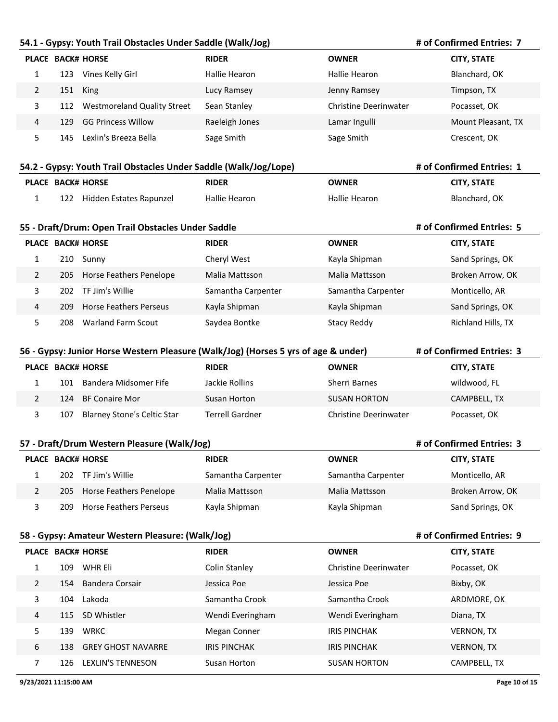#### **54.1 - Gypsy: Youth Trail Obstacles Under Saddle (Walk/Jog)**

#### **# of Confirmed Entries: 7**

**# of Confirmed Entries: 1**

**# of Confirmed Entries: 5**

**# of Confirmed Entries: 3**

**# of Confirmed Entries: 9**

|   |     | <b>PLACE BACK# HORSE</b>           | <b>RIDER</b>   | <b>OWNER</b>                 | <b>CITY, STATE</b> |
|---|-----|------------------------------------|----------------|------------------------------|--------------------|
|   | 123 | Vines Kelly Girl                   | Hallie Hearon  | Hallie Hearon                | Blanchard, OK      |
|   |     | 151 King                           | Lucy Ramsey    | Jenny Ramsey                 | Timpson, TX        |
|   | 112 | <b>Westmoreland Quality Street</b> | Sean Stanley   | <b>Christine Deerinwater</b> | Pocasset, OK       |
| 4 | 129 | GG Princess Willow                 | Raeleigh Jones | Lamar Ingulli                | Mount Pleasant, TX |
|   | 145 | Lexlin's Breeza Bella              | Sage Smith     | Sage Smith                   | Crescent, OK       |

#### **54.2 - Gypsy: Youth Trail Obstacles Under Saddle (Walk/Jog/Lope)**

| <b>PLACE BACK# HORSE</b> |                             | <b>RIDER</b>  | OWNER         | <b>CITY, STATE</b> |
|--------------------------|-----------------------------|---------------|---------------|--------------------|
|                          | 122 Hidden Estates Rapunzel | Hallie Hearon | Hallie Hearon | Blanchard, OK      |

#### **55 - Draft/Drum: Open Trail Obstacles Under Saddle**

|   |      | <b>PLACE BACK# HORSE</b>  | <b>RIDER</b>       | <b>OWNER</b>       | <b>CITY, STATE</b> |
|---|------|---------------------------|--------------------|--------------------|--------------------|
|   | 210. | Sunny                     | Cheryl West        | Kayla Shipman      | Sand Springs, OK   |
|   | 205  | Horse Feathers Penelope   | Malia Mattsson     | Malia Mattsson     | Broken Arrow, OK   |
|   | 202. | TF Jim's Willie           | Samantha Carpenter | Samantha Carpenter | Monticello, AR     |
| 4 | 209  | Horse Feathers Perseus    | Kayla Shipman      | Kayla Shipman      | Sand Springs, OK   |
|   | 208  | <b>Warland Farm Scout</b> | Saydea Bontke      | Stacy Reddy        | Richland Hills, TX |

|                                                                                | # of Confirmed Entries: 3<br>56 - Gypsy: Junior Horse Western Pleasure (Walk/Jog) (Horses 5 yrs of age & under) |                             |                        |                              |              |  |  |
|--------------------------------------------------------------------------------|-----------------------------------------------------------------------------------------------------------------|-----------------------------|------------------------|------------------------------|--------------|--|--|
| <b>PLACE BACK# HORSE</b><br><b>RIDER</b><br><b>OWNER</b><br><b>CITY, STATE</b> |                                                                                                                 |                             |                        |                              |              |  |  |
|                                                                                | 101                                                                                                             | Bandera Midsomer Fife       | Jackie Rollins         | Sherri Barnes                | wildwood, FL |  |  |
|                                                                                | 124                                                                                                             | BF Conaire Mor              | Susan Horton           | <b>SUSAN HORTON</b>          | CAMPBELL, TX |  |  |
|                                                                                | 107                                                                                                             | Blarney Stone's Celtic Star | <b>Terrell Gardner</b> | <b>Christine Deerinwater</b> | Pocasset, OK |  |  |

#### **57 - Draft/Drum Western Pleasure (Walk/Jog)**

|     | <b>PLACE BACK# HORSE</b> | <b>RIDER</b>       | <b>OWNER</b>       | <b>CITY, STATE</b> |
|-----|--------------------------|--------------------|--------------------|--------------------|
| 202 | TF Jim's Willie          | Samantha Carpenter | Samantha Carpenter | Monticello, AR     |
| 205 | Horse Feathers Penelope  | Malia Mattsson     | Malia Mattsson     | Broken Arrow, OK   |
| 209 | Horse Feathers Perseus   | Kayla Shipman      | Kayla Shipman      | Sand Springs, OK   |

### **58 - Gypsy: Amateur Western Pleasure: (Walk/Jog)**

|    | <b>PLACE BACK# HORSE</b>         | <b>RIDER</b>        | <b>OWNER</b>          | <b>CITY, STATE</b> |
|----|----------------------------------|---------------------|-----------------------|--------------------|
|    | WHR Eli<br>109                   | Colin Stanley       | Christine Deerinwater | Pocasset, OK       |
| 2  | Bandera Corsair<br>154           | Jessica Poe         | Jessica Poe           | Bixby, OK          |
| 3  | Lakoda<br>104                    | Samantha Crook      | Samantha Crook        | ARDMORE, OK        |
| 4  | SD Whistler<br>115               | Wendi Everingham    | Wendi Everingham      | Diana, TX          |
| 5. | <b>WRKC</b><br>139               | Megan Conner        | <b>IRIS PINCHAK</b>   | <b>VERNON, TX</b>  |
| 6  | <b>GREY GHOST NAVARRE</b><br>138 | <b>IRIS PINCHAK</b> | <b>IRIS PINCHAK</b>   | <b>VERNON, TX</b>  |
| ℸ  | <b>LEXLIN'S TENNESON</b><br>126  | Susan Horton        | <b>SUSAN HORTON</b>   | CAMPBELL, TX       |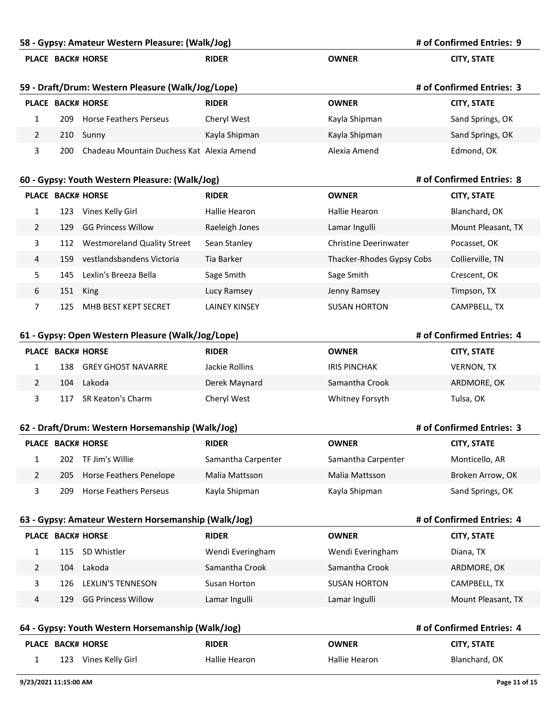|                       |     | 58 - Gypsy: Amateur Western Pleasure: (Walk/Jog)    |                      |                              | # of Confirmed Entries: 9 |
|-----------------------|-----|-----------------------------------------------------|----------------------|------------------------------|---------------------------|
|                       |     | PLACE BACK# HORSE                                   | <b>RIDER</b>         | <b>OWNER</b>                 | <b>CITY, STATE</b>        |
|                       |     | 59 - Draft/Drum: Western Pleasure (Walk/Jog/Lope)   |                      |                              | # of Confirmed Entries: 3 |
|                       |     | <b>PLACE BACK# HORSE</b>                            | <b>RIDER</b>         | <b>OWNER</b>                 | <b>CITY, STATE</b>        |
| 1                     | 209 | <b>Horse Feathers Perseus</b>                       | Cheryl West          | Kayla Shipman                | Sand Springs, OK          |
| $\overline{2}$        |     | 210 Sunny                                           | Kayla Shipman        | Kayla Shipman                | Sand Springs, OK          |
| 3                     | 200 | Chadeau Mountain Duchess Kat Alexia Amend           |                      | Alexia Amend                 | Edmond, OK                |
|                       |     | 60 - Gypsy: Youth Western Pleasure: (Walk/Jog)      |                      |                              | # of Confirmed Entries: 8 |
|                       |     | <b>PLACE BACK# HORSE</b>                            | <b>RIDER</b>         | <b>OWNER</b>                 | <b>CITY, STATE</b>        |
| 1                     |     | 123 Vines Kelly Girl                                | Hallie Hearon        | Hallie Hearon                | Blanchard, OK             |
| $\mathbf{2}$          | 129 | <b>GG Princess Willow</b>                           | Raeleigh Jones       | Lamar Ingulli                | Mount Pleasant, TX        |
| 3                     | 112 | <b>Westmoreland Quality Street</b>                  | Sean Stanley         | <b>Christine Deerinwater</b> | Pocasset, OK              |
| 4                     | 159 | vestlandsbandens Victoria                           | Tia Barker           | Thacker-Rhodes Gypsy Cobs    | Collierville, TN          |
| 5.                    | 145 | Lexlin's Breeza Bella                               | Sage Smith           | Sage Smith                   | Crescent, OK              |
| 6                     | 151 | King                                                | Lucy Ramsey          | Jenny Ramsey                 | Timpson, TX               |
| 7                     | 125 | MHB BEST KEPT SECRET                                | <b>LAINEY KINSEY</b> | <b>SUSAN HORTON</b>          | CAMPBELL, TX              |
|                       |     | 61 - Gypsy: Open Western Pleasure (Walk/Jog/Lope)   |                      |                              | # of Confirmed Entries: 4 |
|                       |     | <b>PLACE BACK# HORSE</b>                            | <b>RIDER</b>         | <b>OWNER</b>                 | <b>CITY, STATE</b>        |
| $\mathbf{1}$          |     | 138 GREY GHOST NAVARRE                              | Jackie Rollins       | <b>IRIS PINCHAK</b>          | <b>VERNON, TX</b>         |
| $\overline{2}$        | 104 | Lakoda                                              | Derek Maynard        | Samantha Crook               | ARDMORE, OK               |
| 3                     | 117 | SR Keaton's Charm                                   | Cheryl West          | Whitney Forsyth              | Tulsa, OK                 |
|                       |     | 62 - Draft/Drum: Western Horsemanship (Walk/Jog)    |                      |                              | # of Confirmed Entries: 3 |
|                       |     | PLACE BACK# HORSE                                   | <b>RIDER</b>         | <b>OWNER</b>                 | <b>CITY, STATE</b>        |
| 1                     | 202 | TF Jim's Willie                                     | Samantha Carpenter   | Samantha Carpenter           | Monticello, AR            |
| $\overline{2}$        | 205 | <b>Horse Feathers Penelope</b>                      | Malia Mattsson       | Malia Mattsson               | Broken Arrow, OK          |
| 3                     | 209 | <b>Horse Feathers Perseus</b>                       | Kayla Shipman        | Kayla Shipman                | Sand Springs, OK          |
|                       |     | 63 - Gypsy: Amateur Western Horsemanship (Walk/Jog) |                      |                              | # of Confirmed Entries: 4 |
|                       |     | PLACE BACK# HORSE                                   | <b>RIDER</b>         | <b>OWNER</b>                 | <b>CITY, STATE</b>        |
| $\mathbf{1}$          |     | 115 SD Whistler                                     | Wendi Everingham     | Wendi Everingham             | Diana, TX                 |
| $\overline{2}$        | 104 | Lakoda                                              | Samantha Crook       | Samantha Crook               | ARDMORE, OK               |
| 3                     | 126 | <b>LEXLIN'S TENNESON</b>                            | Susan Horton         | <b>SUSAN HORTON</b>          | CAMPBELL, TX              |
| 4                     | 129 | <b>GG Princess Willow</b>                           | Lamar Ingulli        | Lamar Ingulli                | Mount Pleasant, TX        |
|                       |     | 64 - Gypsy: Youth Western Horsemanship (Walk/Jog)   |                      |                              | # of Confirmed Entries: 4 |
|                       |     | PLACE BACK# HORSE                                   | <b>RIDER</b>         | <b>OWNER</b>                 | <b>CITY, STATE</b>        |
| 1                     |     | 123 Vines Kelly Girl                                | <b>Hallie Hearon</b> | Hallie Hearon                | Blanchard, OK             |
| 9/23/2021 11:15:00 AM |     |                                                     |                      |                              | Page 11 of 15             |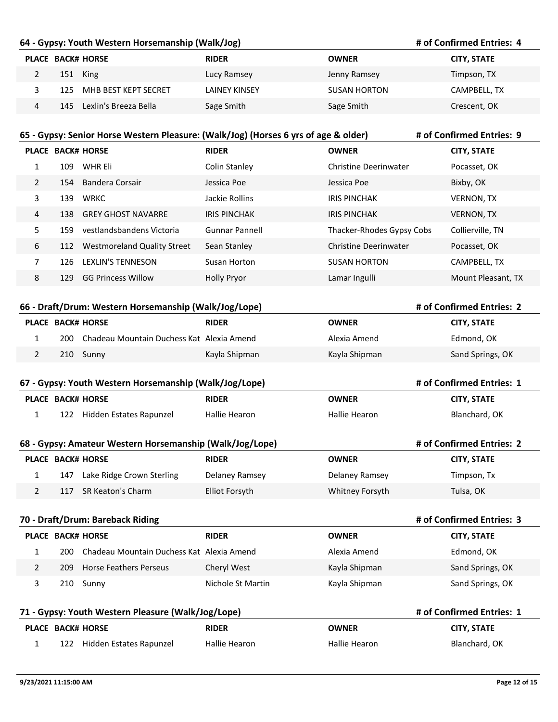## **64 - Gypsy: Youth Western Horsemanship (Walk/Jog)**

#### **# of Confirmed Entries: 4**

**# of Confirmed Entries: 2**

**# of Confirmed Entries: 1**

**# of Confirmed Entries: 2**

**# of Confirmed Entries: 3**

|   | <b>PLACE BACK# HORSE</b>  | <b>RIDER</b>         | <b>OWNER</b>        | <b>CITY, STATE</b> |
|---|---------------------------|----------------------|---------------------|--------------------|
|   | 151 King                  | Lucy Ramsey          | Jenny Ramsey        | Timpson, TX        |
|   | 125 MHB BEST KEPT SECRET  | <b>LAINEY KINSEY</b> | <b>SUSAN HORTON</b> | CAMPBELL, TX       |
| 4 | 145 Lexlin's Breeza Bella | Sage Smith           | Sage Smith          | Crescent, OK       |

| # of Confirmed Entries: 9<br>65 - Gypsy: Senior Horse Western Pleasure: (Walk/Jog) (Horses 6 yrs of age & older) |      |                                    |                     |                           |                    |
|------------------------------------------------------------------------------------------------------------------|------|------------------------------------|---------------------|---------------------------|--------------------|
| <b>PLACE</b>                                                                                                     |      | <b>BACK# HORSE</b>                 | <b>RIDER</b>        | <b>OWNER</b>              | <b>CITY, STATE</b> |
| $\mathbf{1}$                                                                                                     | 109  | WHR Eli                            | Colin Stanley       | Christine Deerinwater     | Pocasset, OK       |
| $\mathcal{P}$                                                                                                    | 154  | Bandera Corsair                    | Jessica Poe         | Jessica Poe               | Bixby, OK          |
| 3                                                                                                                | 139  | <b>WRKC</b>                        | Jackie Rollins      | <b>IRIS PINCHAK</b>       | <b>VERNON, TX</b>  |
| 4                                                                                                                | 138. | <b>GREY GHOST NAVARRE</b>          | <b>IRIS PINCHAK</b> | <b>IRIS PINCHAK</b>       | <b>VERNON, TX</b>  |
| 5.                                                                                                               | 159  | vestlandsbandens Victoria          | Gunnar Pannell      | Thacker-Rhodes Gypsy Cobs | Collierville, TN   |
| 6                                                                                                                | 112  | <b>Westmoreland Quality Street</b> | Sean Stanley        | Christine Deerinwater     | Pocasset, OK       |
| 7                                                                                                                | 126  | <b>LEXLIN'S TENNESON</b>           | Susan Horton        | <b>SUSAN HORTON</b>       | CAMPBELL, TX       |
| 8                                                                                                                | 129  | <b>GG Princess Willow</b>          | <b>Holly Pryor</b>  | Lamar Ingulli             | Mount Pleasant, TX |
|                                                                                                                  |      |                                    |                     |                           |                    |

#### **66 - Draft/Drum: Western Horsemanship (Walk/Jog/Lope)**

|      | <b>PLACE BACK# HORSE</b>                  | <b>RIDER</b>  | <b>OWNER</b>  | <b>CITY. STATE</b> |
|------|-------------------------------------------|---------------|---------------|--------------------|
| 200. | Chadeau Mountain Duchess Kat Alexia Amend |               | Alexia Amend  | Edmond, OK         |
|      | 210 Sunny                                 | Kayla Shipman | Kayla Shipman | Sand Springs, OK   |

| 67 - Gypsy: Youth Western Horsemanship (Walk/Jog/Lope) |              |           |  |  |  |
|--------------------------------------------------------|--------------|-----------|--|--|--|
| BLACE BACKH HOBCE                                      | <b>DIDED</b> | $\bigcap$ |  |  |  |

|     | <b>PLACE BACK# HORSE</b> | <b>RIDER</b>  | OWNER         | <b>CITY, STATE</b> |
|-----|--------------------------|---------------|---------------|--------------------|
| 122 | Hidden Estates Rapunzel  | Hallie Hearon | Hallie Hearon | Blanchard, OK      |

#### **68 - Gypsy: Amateur Western Horsemanship (Walk/Jog/Lope)**

|     | PLACE BACK# HORSE             | <b>RIDER</b>   | OWNER           | <b>CITY, STATE</b> |
|-----|-------------------------------|----------------|-----------------|--------------------|
|     | 147 Lake Ridge Crown Sterling | Delaney Ramsey | Delaney Ramsey  | Timpson, Tx        |
| 117 | SR Keaton's Charm             | Elliot Forsyth | Whitney Forsyth | Tulsa, OK          |

#### **70 - Draft/Drum: Bareback Riding**

|      | <b>PLACE BACK# HORSE</b>                  | <b>RIDER</b>      | <b>OWNER</b>  | <b>CITY, STATE</b> |
|------|-------------------------------------------|-------------------|---------------|--------------------|
| 200. | Chadeau Mountain Duchess Kat Alexia Amend |                   | Alexia Amend  | Edmond, OK         |
| 209. | <b>Horse Feathers Perseus</b>             | Cheryl West       | Kayla Shipman | Sand Springs, OK   |
|      | 210 Sunny                                 | Nichole St Martin | Kayla Shipman | Sand Springs, OK   |

| 71 - Gypsy: Youth Western Pleasure (Walk/Jog/Lope) |     |                         |               |               | # of Confirmed Entries: 1 |
|----------------------------------------------------|-----|-------------------------|---------------|---------------|---------------------------|
|                                                    |     | PLACE BACK# HORSE       | <b>RIDER</b>  | <b>OWNER</b>  | <b>CITY, STATE</b>        |
|                                                    | 122 | Hidden Estates Rapunzel | Hallie Hearon | Hallie Hearon | Blanchard, OK             |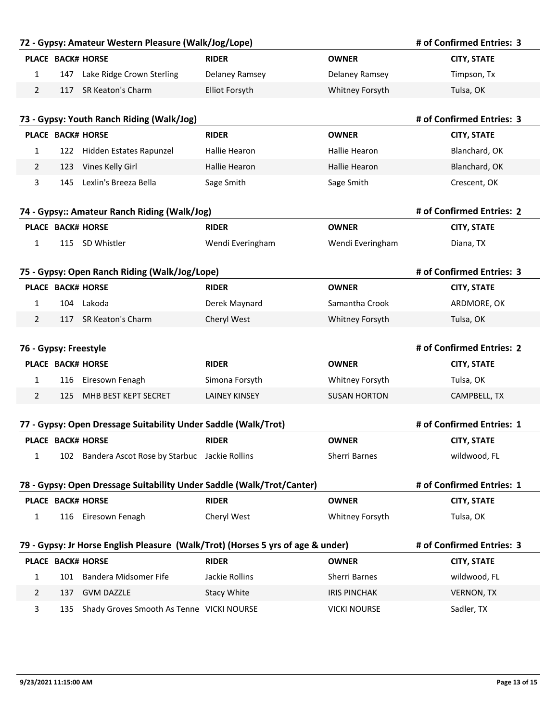|                       |     | 72 - Gypsy: Amateur Western Pleasure (Walk/Jog/Lope)                  |                                                                                 |                      | # of Confirmed Entries: 3 |
|-----------------------|-----|-----------------------------------------------------------------------|---------------------------------------------------------------------------------|----------------------|---------------------------|
|                       |     | <b>PLACE BACK# HORSE</b>                                              | <b>RIDER</b>                                                                    | <b>OWNER</b>         | <b>CITY, STATE</b>        |
| 1                     | 147 | Lake Ridge Crown Sterling                                             | Delaney Ramsey                                                                  | Delaney Ramsey       | Timpson, Tx               |
| 2                     |     | 117 SR Keaton's Charm                                                 | <b>Elliot Forsyth</b>                                                           | Whitney Forsyth      | Tulsa, OK                 |
|                       |     |                                                                       |                                                                                 |                      |                           |
|                       |     | 73 - Gypsy: Youth Ranch Riding (Walk/Jog)                             |                                                                                 |                      | # of Confirmed Entries: 3 |
|                       |     | <b>PLACE BACK# HORSE</b>                                              | <b>RIDER</b>                                                                    | <b>OWNER</b>         | <b>CITY, STATE</b>        |
| 1                     |     | 122 Hidden Estates Rapunzel                                           | Hallie Hearon                                                                   | Hallie Hearon        | Blanchard, OK             |
| 2                     |     | 123 Vines Kelly Girl                                                  | Hallie Hearon                                                                   | <b>Hallie Hearon</b> | Blanchard, OK             |
| 3                     | 145 | Lexlin's Breeza Bella                                                 | Sage Smith                                                                      | Sage Smith           | Crescent, OK              |
|                       |     | 74 - Gypsy:: Amateur Ranch Riding (Walk/Jog)                          |                                                                                 |                      | # of Confirmed Entries: 2 |
|                       |     | <b>PLACE BACK# HORSE</b>                                              | <b>RIDER</b>                                                                    | <b>OWNER</b>         | <b>CITY, STATE</b>        |
| $\mathbf{1}$          |     | 115 SD Whistler                                                       | Wendi Everingham                                                                | Wendi Everingham     | Diana, TX                 |
|                       |     |                                                                       |                                                                                 |                      |                           |
|                       |     | 75 - Gypsy: Open Ranch Riding (Walk/Jog/Lope)                         |                                                                                 |                      | # of Confirmed Entries: 3 |
|                       |     | <b>PLACE BACK# HORSE</b>                                              | <b>RIDER</b>                                                                    | <b>OWNER</b>         | <b>CITY, STATE</b>        |
| $\mathbf{1}$          |     | 104 Lakoda                                                            | Derek Maynard                                                                   | Samantha Crook       | ARDMORE, OK               |
| 2                     |     | 117 SR Keaton's Charm                                                 | Cheryl West                                                                     | Whitney Forsyth      | Tulsa, OK                 |
|                       |     |                                                                       |                                                                                 |                      |                           |
| 76 - Gypsy: Freestyle |     |                                                                       |                                                                                 |                      | # of Confirmed Entries: 2 |
|                       |     | <b>PLACE BACK# HORSE</b>                                              | <b>RIDER</b>                                                                    | <b>OWNER</b>         | <b>CITY, STATE</b>        |
| 1                     | 116 | Eiresown Fenagh                                                       | Simona Forsyth                                                                  | Whitney Forsyth      | Tulsa, OK                 |
| 2                     | 125 | MHB BEST KEPT SECRET                                                  | <b>LAINEY KINSEY</b>                                                            | <b>SUSAN HORTON</b>  | CAMPBELL, TX              |
|                       |     | 77 - Gypsy: Open Dressage Suitability Under Saddle (Walk/Trot)        |                                                                                 |                      | # of Confirmed Entries: 1 |
|                       |     | PLACE BACK# HORSE                                                     | <b>RIDER</b>                                                                    | <b>OWNER</b>         | <b>CITY, STATE</b>        |
| $\mathbf{1}$          |     | 102 Bandera Ascot Rose by Starbuc Jackie Rollins                      |                                                                                 | Sherri Barnes        | wildwood, FL              |
|                       |     |                                                                       |                                                                                 |                      |                           |
|                       |     | 78 - Gypsy: Open Dressage Suitability Under Saddle (Walk/Trot/Canter) |                                                                                 |                      | # of Confirmed Entries: 1 |
|                       |     | PLACE BACK# HORSE                                                     | <b>RIDER</b>                                                                    | <b>OWNER</b>         | <b>CITY, STATE</b>        |
| $\mathbf{1}$          |     | 116 Eiresown Fenagh                                                   | Cheryl West                                                                     | Whitney Forsyth      | Tulsa, OK                 |
|                       |     |                                                                       |                                                                                 |                      |                           |
|                       |     |                                                                       | 79 - Gypsy: Jr Horse English Pleasure (Walk/Trot) (Horses 5 yrs of age & under) |                      | # of Confirmed Entries: 3 |
|                       |     | PLACE BACK# HORSE                                                     | <b>RIDER</b>                                                                    | <b>OWNER</b>         | <b>CITY, STATE</b>        |
| $\mathbf{1}$          |     | 101 Bandera Midsomer Fife                                             | Jackie Rollins                                                                  | Sherri Barnes        | wildwood, FL              |
| 2                     | 137 | <b>GVM DAZZLE</b>                                                     | <b>Stacy White</b>                                                              | <b>IRIS PINCHAK</b>  | <b>VERNON, TX</b>         |
| 3                     | 135 | Shady Groves Smooth As Tenne VICKI NOURSE                             |                                                                                 | <b>VICKI NOURSE</b>  | Sadler, TX                |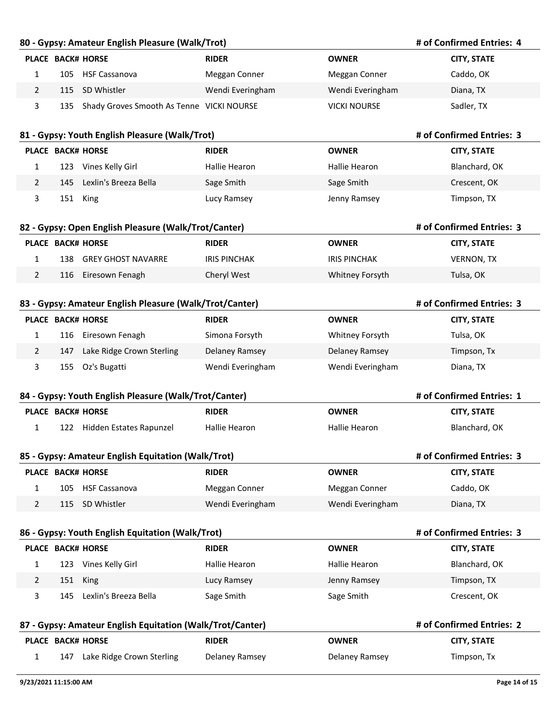#### **80 - Gypsy: Amateur English Pleasure (Walk/Trot)**

#### **# of Confirmed Entries: 4**

**# of Confirmed Entries: 3**

**# of Confirmed Entries: 3**

**# of Confirmed Entries: 1**

**# of Confirmed Entries: 3**

**# of Confirmed Entries: 3**

|     | <b>PLACE BACK# HORSE</b>                      | <b>RIDER</b>     | <b>OWNER</b>        | <b>CITY, STATE</b> |
|-----|-----------------------------------------------|------------------|---------------------|--------------------|
| 105 | HSF Cassanova                                 | Meggan Conner    | Meggan Conner       | Caddo, OK          |
|     | 115 SD Whistler                               | Wendi Everingham | Wendi Everingham    | Diana, TX          |
|     | 135 Shady Groves Smooth As Tenne VICKI NOURSE |                  | <b>VICKI NOURSE</b> | Sadler, TX         |

## **81 - Gypsy: Youth English Pleasure (Walk/Trot) PLACE BACK# HORSE RIDER OWNER CITY, STATE # of Confirmed Entries: 3** 1 123 Vines Kelly Girl Hallie Hearon Hallie Hearon Blanchard, OK 2 145 Lexlin's Breeza Bella Sage Smith Sage Smith Sage Smith Crescent, OK 3 151 King **State Contract Contract Contract Contract Contract Contract Contract Contract Contract Contract Contract Contract Contract Contract Contract Contract Contract Contract Contract Contract Contract Contract Contra**

#### **82 - Gypsy: Open English Pleasure (Walk/Trot/Canter)**

|     | PLACE BACK# HORSE   | <b>RIDER</b>        | <b>OWNER</b>        | <b>CITY, STATE</b> |
|-----|---------------------|---------------------|---------------------|--------------------|
| 138 | GREY GHOST NAVARRE  | <b>IRIS PINCHAK</b> | <b>IRIS PINCHAK</b> | <b>VERNON, TX</b>  |
|     | 116 Eiresown Fenagh | Cheryl West         | Whitney Forsyth     | Tulsa, OK          |

#### **83 - Gypsy: Amateur English Pleasure (Walk/Trot/Canter)**

|     | <b>PLACE BACK# HORSE</b>  | <b>RIDER</b>     | <b>OWNER</b>     | <b>CITY, STATE</b> |
|-----|---------------------------|------------------|------------------|--------------------|
|     | 116 Eiresown Fenagh       | Simona Forsyth   | Whitney Forsyth  | Tulsa, OK          |
| 147 | Lake Ridge Crown Sterling | Delaney Ramsey   | Delaney Ramsey   | Timpson, Tx        |
| 155 | Oz's Bugatti              | Wendi Everingham | Wendi Everingham | Diana, TX          |

#### **84 - Gypsy: Youth English Pleasure (Walk/Trot/Canter)**

|  | PLACE BACK# HORSE           | <b>RIDER</b>  | <b>OWNER</b>  | <b>CITY, STATE</b> |
|--|-----------------------------|---------------|---------------|--------------------|
|  | 122 Hidden Estates Rapunzel | Hallie Hearon | Hallie Hearon | Blanchard, OK      |

#### **85 - Gypsy: Amateur English Equitation (Walk/Trot)**

|  | PLACE BACK# HORSE | <b>RIDER</b>     | OWNER            | <b>CITY, STATE</b> |
|--|-------------------|------------------|------------------|--------------------|
|  | 105 HSF Cassanova | Meggan Conner    | Meggan Conner    | Caddo, OK          |
|  | 115 SD Whistler   | Wendi Everingham | Wendi Everingham | Diana, TX          |

#### **86 - Gypsy: Youth English Equitation (Walk/Trot)**

| <b>PLACE BACK# HORSE</b>     | <b>RIDER</b>  | <b>OWNER</b>  | <b>CITY, STATE</b> |
|------------------------------|---------------|---------------|--------------------|
| Vines Kelly Girl<br>123      | Hallie Hearon | Hallie Hearon | Blanchard, OK      |
| 151 King                     | Lucy Ramsey   | Jenny Ramsey  | Timpson, TX        |
| Lexlin's Breeza Bella<br>145 | Sage Smith    | Sage Smith    | Crescent, OK       |

#### **87 - Gypsy: Amateur English Equitation (Walk/Trot/Canter) PLACE BACK# HORSE RIDER OWNER CITY, STATE # of Confirmed Entries: 2** 1 147 Lake Ridge Crown Sterling Delaney Ramsey Delaney Ramsey Timpson, Tx